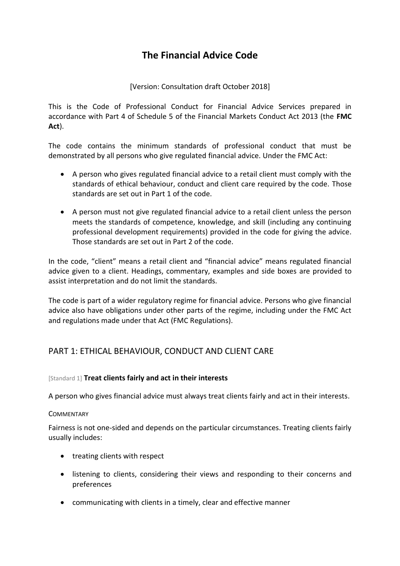# **The Financial Advice Code**

### [Version: Consultation draft October 2018]

This is the Code of Professional Conduct for Financial Advice Services prepared in accordance with Part 4 of Schedule 5 of the Financial Markets Conduct Act 2013 (the **FMC Act**).

The code contains the minimum standards of professional conduct that must be demonstrated by all persons who give regulated financial advice. Under the FMC Act:

- A person who gives regulated financial advice to a retail client must comply with the standards of ethical behaviour, conduct and client care required by the code. Those standards are set out in Part 1 of the code.
- A person must not give regulated financial advice to a retail client unless the person meets the standards of competence, knowledge, and skill (including any continuing professional development requirements) provided in the code for giving the advice. Those standards are set out in Part 2 of the code.

In the code, "client" means a retail client and "financial advice" means regulated financial advice given to a client. Headings, commentary, examples and side boxes are provided to assist interpretation and do not limit the standards.

The code is part of a wider regulatory regime for financial advice. Persons who give financial advice also have obligations under other parts of the regime, including under the FMC Act and regulations made under that Act (FMC Regulations).

## PART 1: ETHICAL BEHAVIOUR, CONDUCT AND CLIENT CARE

### [Standard 1] **Treat clients fairly and act in their interests**

A person who gives financial advice must always treat clients fairly and act in their interests.

### **COMMENTARY**

Fairness is not one-sided and depends on the particular circumstances. Treating clients fairly usually includes:

- treating clients with respect
- listening to clients, considering their views and responding to their concerns and preferences
- communicating with clients in a timely, clear and effective manner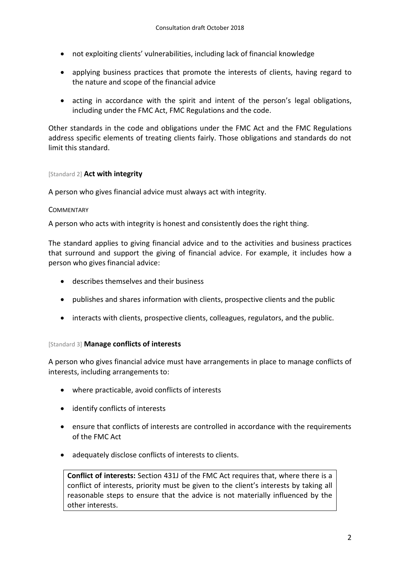- not exploiting clients' vulnerabilities, including lack of financial knowledge
- applying business practices that promote the interests of clients, having regard to the nature and scope of the financial advice
- acting in accordance with the spirit and intent of the person's legal obligations, including under the FMC Act, FMC Regulations and the code.

Other standards in the code and obligations under the FMC Act and the FMC Regulations address specific elements of treating clients fairly. Those obligations and standards do not limit this standard.

### [Standard 2] **Act with integrity**

A person who gives financial advice must always act with integrity.

### **COMMENTARY**

A person who acts with integrity is honest and consistently does the right thing.

The standard applies to giving financial advice and to the activities and business practices that surround and support the giving of financial advice. For example, it includes how a person who gives financial advice:

- describes themselves and their business
- publishes and shares information with clients, prospective clients and the public
- interacts with clients, prospective clients, colleagues, regulators, and the public.

### [Standard 3] **Manage conflicts of interests**

A person who gives financial advice must have arrangements in place to manage conflicts of interests, including arrangements to:

- where practicable, avoid conflicts of interests
- identify conflicts of interests
- ensure that conflicts of interests are controlled in accordance with the requirements of the FMC Act
- adequately disclose conflicts of interests to clients.

**Conflict of interests:** Section 431J of the FMC Act requires that, where there is a conflict of interests, priority must be given to the client's interests by taking all reasonable steps to ensure that the advice is not materially influenced by the other interests.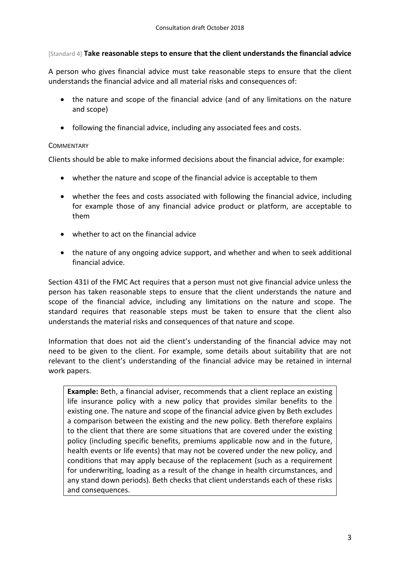### [Standard 4] **Take reasonable steps to ensure that the client understands the financial advice**

A person who gives financial advice must take reasonable steps to ensure that the client understands the financial advice and all material risks and consequences of:

- the nature and scope of the financial advice (and of any limitations on the nature and scope)
- following the financial advice, including any associated fees and costs.

### **COMMENTARY**

Clients should be able to make informed decisions about the financial advice, for example:

- whether the nature and scope of the financial advice is acceptable to them
- whether the fees and costs associated with following the financial advice, including for example those of any financial advice product or platform, are acceptable to them
- whether to act on the financial advice
- the nature of any ongoing advice support, and whether and when to seek additional financial advice.

Section 431I of the FMC Act requires that a person must not give financial advice unless the person has taken reasonable steps to ensure that the client understands the nature and scope of the financial advice, including any limitations on the nature and scope. The standard requires that reasonable steps must be taken to ensure that the client also understands the material risks and consequences of that nature and scope.

Information that does not aid the client's understanding of the financial advice may not need to be given to the client. For example, some details about suitability that are not relevant to the client's understanding of the financial advice may be retained in internal work papers.

**Example:** Beth, a financial adviser, recommends that a client replace an existing life insurance policy with a new policy that provides similar benefits to the existing one. The nature and scope of the financial advice given by Beth excludes a comparison between the existing and the new policy. Beth therefore explains to the client that there are some situations that are covered under the existing policy (including specific benefits, premiums applicable now and in the future, health events or life events) that may not be covered under the new policy, and conditions that may apply because of the replacement (such as a requirement for underwriting, loading as a result of the change in health circumstances, and any stand down periods). Beth checks that client understands each of these risks and consequences.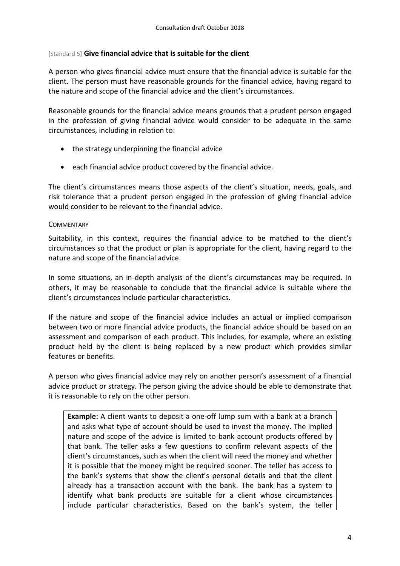### [Standard 5] **Give financial advice that is suitable for the client**

A person who gives financial advice must ensure that the financial advice is suitable for the client. The person must have reasonable grounds for the financial advice, having regard to the nature and scope of the financial advice and the client's circumstances.

Reasonable grounds for the financial advice means grounds that a prudent person engaged in the profession of giving financial advice would consider to be adequate in the same circumstances, including in relation to:

- the strategy underpinning the financial advice
- each financial advice product covered by the financial advice.

The client's circumstances means those aspects of the client's situation, needs, goals, and risk tolerance that a prudent person engaged in the profession of giving financial advice would consider to be relevant to the financial advice.

### **COMMENTARY**

Suitability, in this context, requires the financial advice to be matched to the client's circumstances so that the product or plan is appropriate for the client, having regard to the nature and scope of the financial advice.

In some situations, an in-depth analysis of the client's circumstances may be required. In others, it may be reasonable to conclude that the financial advice is suitable where the client's circumstances include particular characteristics.

If the nature and scope of the financial advice includes an actual or implied comparison between two or more financial advice products, the financial advice should be based on an assessment and comparison of each product. This includes, for example, where an existing product held by the client is being replaced by a new product which provides similar features or benefits.

A person who gives financial advice may rely on another person's assessment of a financial advice product or strategy. The person giving the advice should be able to demonstrate that it is reasonable to rely on the other person.

**Example:** A client wants to deposit a one-off lump sum with a bank at a branch and asks what type of account should be used to invest the money. The implied nature and scope of the advice is limited to bank account products offered by that bank. The teller asks a few questions to confirm relevant aspects of the client's circumstances, such as when the client will need the money and whether it is possible that the money might be required sooner. The teller has access to the bank's systems that show the client's personal details and that the client already has a transaction account with the bank. The bank has a system to identify what bank products are suitable for a client whose circumstances include particular characteristics. Based on the bank's system, the teller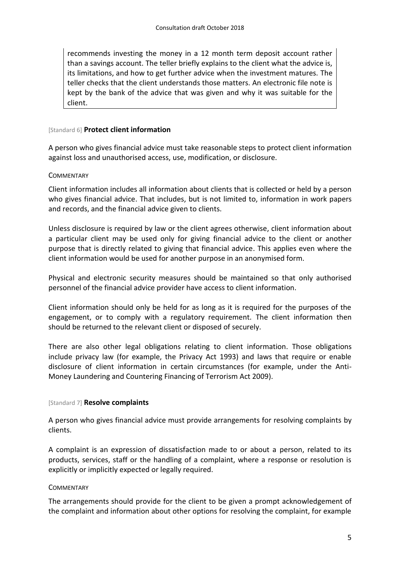recommends investing the money in a 12 month term deposit account rather than a savings account. The teller briefly explains to the client what the advice is, its limitations, and how to get further advice when the investment matures. The teller checks that the client understands those matters. An electronic file note is kept by the bank of the advice that was given and why it was suitable for the client.

#### [Standard 6] **Protect client information**

A person who gives financial advice must take reasonable steps to protect client information against loss and unauthorised access, use, modification, or disclosure.

### **COMMENTARY**

Client information includes all information about clients that is collected or held by a person who gives financial advice. That includes, but is not limited to, information in work papers and records, and the financial advice given to clients.

Unless disclosure is required by law or the client agrees otherwise, client information about a particular client may be used only for giving financial advice to the client or another purpose that is directly related to giving that financial advice. This applies even where the client information would be used for another purpose in an anonymised form.

Physical and electronic security measures should be maintained so that only authorised personnel of the financial advice provider have access to client information.

Client information should only be held for as long as it is required for the purposes of the engagement, or to comply with a regulatory requirement. The client information then should be returned to the relevant client or disposed of securely.

There are also other legal obligations relating to client information. Those obligations include privacy law (for example, the Privacy Act 1993) and laws that require or enable disclosure of client information in certain circumstances (for example, under the Anti-Money Laundering and Countering Financing of Terrorism Act 2009).

#### [Standard 7] **Resolve complaints**

A person who gives financial advice must provide arrangements for resolving complaints by clients.

A complaint is an expression of dissatisfaction made to or about a person, related to its products, services, staff or the handling of a complaint, where a response or resolution is explicitly or implicitly expected or legally required.

### **COMMENTARY**

The arrangements should provide for the client to be given a prompt acknowledgement of the complaint and information about other options for resolving the complaint, for example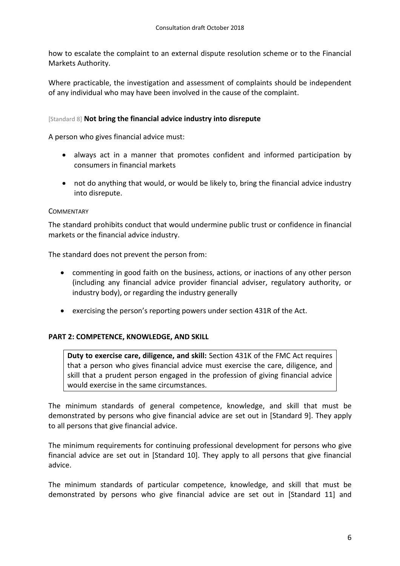how to escalate the complaint to an external dispute resolution scheme or to the Financial Markets Authority.

Where practicable, the investigation and assessment of complaints should be independent of any individual who may have been involved in the cause of the complaint.

### [Standard 8] **Not bring the financial advice industry into disrepute**

A person who gives financial advice must:

- always act in a manner that promotes confident and informed participation by consumers in financial markets
- not do anything that would, or would be likely to, bring the financial advice industry into disrepute.

### **COMMENTARY**

The standard prohibits conduct that would undermine public trust or confidence in financial markets or the financial advice industry.

The standard does not prevent the person from:

- commenting in good faith on the business, actions, or inactions of any other person (including any financial advice provider financial adviser, regulatory authority, or industry body), or regarding the industry generally
- exercising the person's reporting powers under section 431R of the Act.

### **PART 2: COMPETENCE, KNOWLEDGE, AND SKILL**

**Duty to exercise care, diligence, and skill:** Section 431K of the FMC Act requires that a person who gives financial advice must exercise the care, diligence, and skill that a prudent person engaged in the profession of giving financial advice would exercise in the same circumstances.

The minimum standards of general competence, knowledge, and skill that must be demonstrated by persons who give financial advice are set out in [Standard 9]. They apply to all persons that give financial advice.

The minimum requirements for continuing professional development for persons who give financial advice are set out in [Standard 10]. They apply to all persons that give financial advice.

The minimum standards of particular competence, knowledge, and skill that must be demonstrated by persons who give financial advice are set out in [Standard 11] and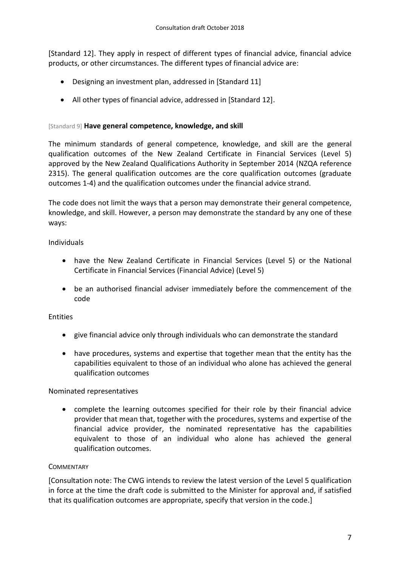[Standard 12]. They apply in respect of different types of financial advice, financial advice products, or other circumstances. The different types of financial advice are:

- Designing an investment plan, addressed in [Standard 11]
- All other types of financial advice, addressed in [Standard 12].

### [Standard 9] **Have general competence, knowledge, and skill**

The minimum standards of general competence, knowledge, and skill are the general qualification outcomes of the New Zealand Certificate in Financial Services (Level 5) approved by the New Zealand Qualifications Authority in September 2014 (NZQA reference 2315). The general qualification outcomes are the core qualification outcomes (graduate outcomes 1-4) and the qualification outcomes under the financial advice strand.

The code does not limit the ways that a person may demonstrate their general competence, knowledge, and skill. However, a person may demonstrate the standard by any one of these ways:

### Individuals

- have the New Zealand Certificate in Financial Services (Level 5) or the National Certificate in Financial Services (Financial Advice) (Level 5)
- be an authorised financial adviser immediately before the commencement of the code

### Entities

- give financial advice only through individuals who can demonstrate the standard
- have procedures, systems and expertise that together mean that the entity has the capabilities equivalent to those of an individual who alone has achieved the general qualification outcomes

### Nominated representatives

 complete the learning outcomes specified for their role by their financial advice provider that mean that, together with the procedures, systems and expertise of the financial advice provider, the nominated representative has the capabilities equivalent to those of an individual who alone has achieved the general qualification outcomes.

### **COMMENTARY**

[Consultation note: The CWG intends to review the latest version of the Level 5 qualification in force at the time the draft code is submitted to the Minister for approval and, if satisfied that its qualification outcomes are appropriate, specify that version in the code.]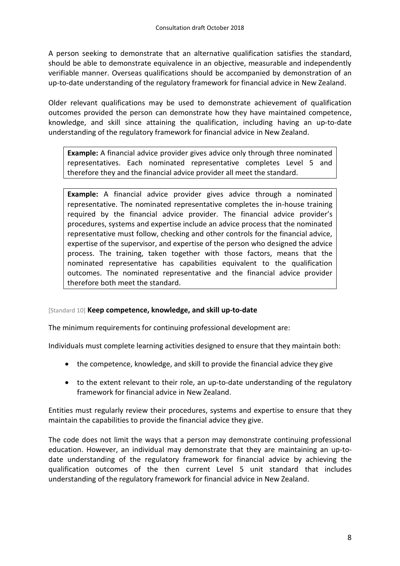A person seeking to demonstrate that an alternative qualification satisfies the standard, should be able to demonstrate equivalence in an objective, measurable and independently verifiable manner. Overseas qualifications should be accompanied by demonstration of an up-to-date understanding of the regulatory framework for financial advice in New Zealand.

Older relevant qualifications may be used to demonstrate achievement of qualification outcomes provided the person can demonstrate how they have maintained competence, knowledge, and skill since attaining the qualification, including having an up-to-date understanding of the regulatory framework for financial advice in New Zealand.

**Example:** A financial advice provider gives advice only through three nominated representatives. Each nominated representative completes Level 5 and therefore they and the financial advice provider all meet the standard.

**Example:** A financial advice provider gives advice through a nominated representative. The nominated representative completes the in-house training required by the financial advice provider. The financial advice provider's procedures, systems and expertise include an advice process that the nominated representative must follow, checking and other controls for the financial advice, expertise of the supervisor, and expertise of the person who designed the advice process. The training, taken together with those factors, means that the nominated representative has capabilities equivalent to the qualification outcomes. The nominated representative and the financial advice provider therefore both meet the standard.

### [Standard 10] **Keep competence, knowledge, and skill up-to-date**

The minimum requirements for continuing professional development are:

Individuals must complete learning activities designed to ensure that they maintain both:

- the competence, knowledge, and skill to provide the financial advice they give
- to the extent relevant to their role, an up-to-date understanding of the regulatory framework for financial advice in New Zealand.

Entities must regularly review their procedures, systems and expertise to ensure that they maintain the capabilities to provide the financial advice they give.

The code does not limit the ways that a person may demonstrate continuing professional education. However, an individual may demonstrate that they are maintaining an up-todate understanding of the regulatory framework for financial advice by achieving the qualification outcomes of the then current Level 5 unit standard that includes understanding of the regulatory framework for financial advice in New Zealand.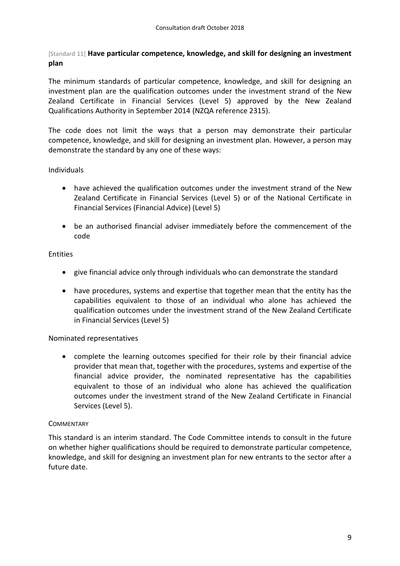[Standard 11] **Have particular competence, knowledge, and skill for designing an investment plan**

The minimum standards of particular competence, knowledge, and skill for designing an investment plan are the qualification outcomes under the investment strand of the New Zealand Certificate in Financial Services (Level 5) approved by the New Zealand Qualifications Authority in September 2014 (NZQA reference 2315).

The code does not limit the ways that a person may demonstrate their particular competence, knowledge, and skill for designing an investment plan. However, a person may demonstrate the standard by any one of these ways:

### Individuals

- have achieved the qualification outcomes under the investment strand of the New Zealand Certificate in Financial Services (Level 5) or of the National Certificate in Financial Services (Financial Advice) (Level 5)
- be an authorised financial adviser immediately before the commencement of the code

### Entities

- give financial advice only through individuals who can demonstrate the standard
- have procedures, systems and expertise that together mean that the entity has the capabilities equivalent to those of an individual who alone has achieved the qualification outcomes under the investment strand of the New Zealand Certificate in Financial Services (Level 5)

### Nominated representatives

 complete the learning outcomes specified for their role by their financial advice provider that mean that, together with the procedures, systems and expertise of the financial advice provider, the nominated representative has the capabilities equivalent to those of an individual who alone has achieved the qualification outcomes under the investment strand of the New Zealand Certificate in Financial Services (Level 5).

### **COMMENTARY**

This standard is an interim standard. The Code Committee intends to consult in the future on whether higher qualifications should be required to demonstrate particular competence, knowledge, and skill for designing an investment plan for new entrants to the sector after a future date.